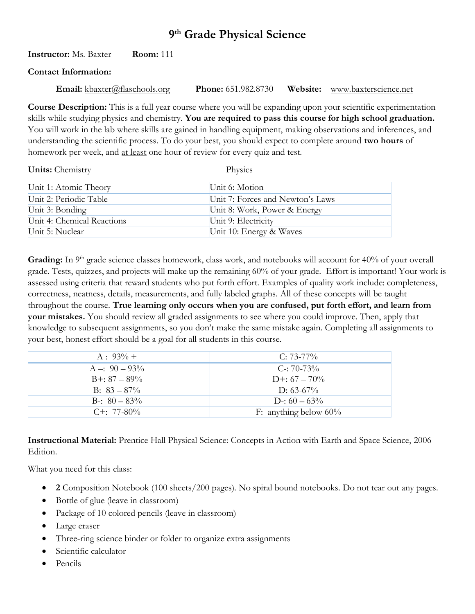# **9 th Grade Physical Science**

### **Instructor:** Ms. Baxter **Room:** 111

#### **Contact Information:**

**Email:** [kbaxter@flaschools.org](mailto:kbaxter@flaschools.org) **Phone:** 651.982.8730 **Website:** [www.baxterscience.net](http://www.baxterscience.net/)

**Course Description:** This is a full year course where you will be expanding upon your scientific experimentation skills while studying physics and chemistry. **You are required to pass this course for high school graduation.** You will work in the lab where skills are gained in handling equipment, making observations and inferences, and understanding the scientific process. To do your best, you should expect to complete around **two hours** of homework per week, and at least one hour of review for every quiz and test.

| <b>Units:</b> Chemistry    | Physics                          |
|----------------------------|----------------------------------|
| Unit 1: Atomic Theory      | Unit 6: Motion                   |
| Unit 2: Periodic Table     | Unit 7: Forces and Newton's Laws |
| Unit 3: Bonding            | Unit 8: Work, Power & Energy     |
| Unit 4: Chemical Reactions | Unit 9: Electricity              |
| Unit 5: Nuclear            | Unit 10: Energy & Waves          |

Grading: In 9<sup>th</sup> grade science classes homework, class work, and notebooks will account for 40% of your overall grade. Tests, quizzes, and projects will make up the remaining 60% of your grade. Effort is important! Your work is assessed using criteria that reward students who put forth effort. Examples of quality work include: completeness, correctness, neatness, details, measurements, and fully labeled graphs. All of these concepts will be taught throughout the course. **True learning only occurs when you are confused, put forth effort, and learn from your mistakes.** You should review all graded assignments to see where you could improve. Then, apply that knowledge to subsequent assignments, so you don't make the same mistake again. Completing all assignments to your best, honest effort should be a goal for all students in this course.

| $A : 93\% +$       | $C: 73-77\%$             |
|--------------------|--------------------------|
| $A = 90 - 93\%$    | $C = 70-73%$             |
| $B+: 87 - 89\%$    | $D^{+}$ : 67 – 70%       |
| $B: 83 - 87\%$     | D: 63-67%                |
| $B - 80 - 83\%$    | $D: 60 - 63\%$           |
| $C_{\pm}$ : 77-80% | F: anything below $60\%$ |

**Instructional Material:** Prentice Hall Physical Science: Concepts in Action with Earth and Space Science, 2006 Edition.

What you need for this class:

- **2** Composition Notebook (100 sheets/200 pages). No spiral bound notebooks. Do not tear out any pages.
- Bottle of glue (leave in classroom)
- Package of 10 colored pencils (leave in classroom)
- Large eraser
- Three-ring science binder or folder to organize extra assignments
- Scientific calculator
- Pencils